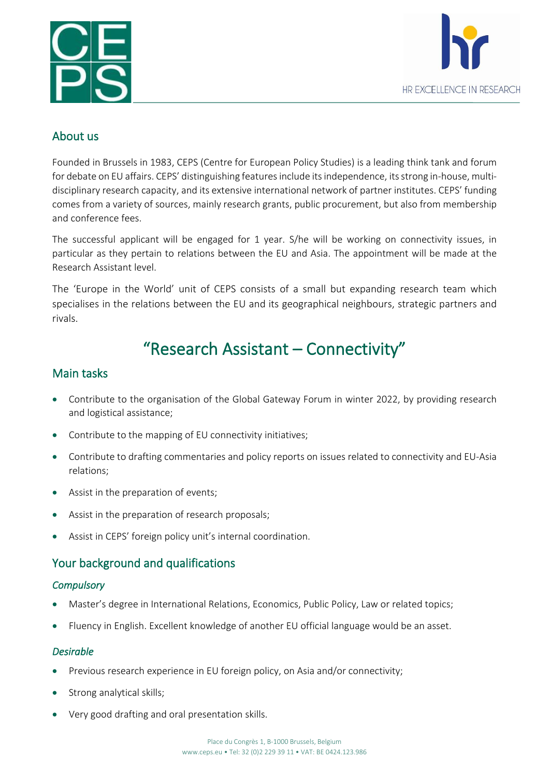



# About us

Founded in Brussels in 1983, [CEPS](http://www.ceps.eu/) (Centre for European Policy Studies) is a leading think tank and forum for debate on EU affairs. CEPS' distinguishing features include its independence, its strong in-house, multidisciplinary research capacity, and its extensive international network of partner institutes. CEPS' funding comes from a variety of sources, mainly research grants, public procurement, but also from membership and conference fees.

The successful applicant will be engaged for 1 year. S/he will be working on connectivity issues, in particular as they pertain to relations between the EU and Asia. The appointment will be made at the Research Assistant level.

The 'Europe in the World' unit of CEPS consists of a small but expanding research team which specialises in the relations between the EU and its geographical neighbours, strategic partners and rivals.

# "Research Assistant – Connectivity"

# Main tasks

- Contribute to the organisation of the Global Gateway Forum in winter 2022, by providing research and logistical assistance;
- Contribute to the mapping of EU connectivity initiatives;
- Contribute to drafting commentaries and policy reports on issues related to connectivity and EU-Asia relations;
- Assist in the preparation of events;
- Assist in the preparation of research proposals;
- Assist in CEPS' foreign policy unit's internal coordination.

# Your background and qualifications

#### *Compulsory*

- Master's degree in International Relations, Economics, Public Policy, Law or related topics;
- Fluency in English. Excellent knowledge of another EU official language would be an asset.

#### *Desirable*

- Previous research experience in EU foreign policy, on Asia and/or connectivity;
- Strong analytical skills;
- Very good drafting and oral presentation skills.